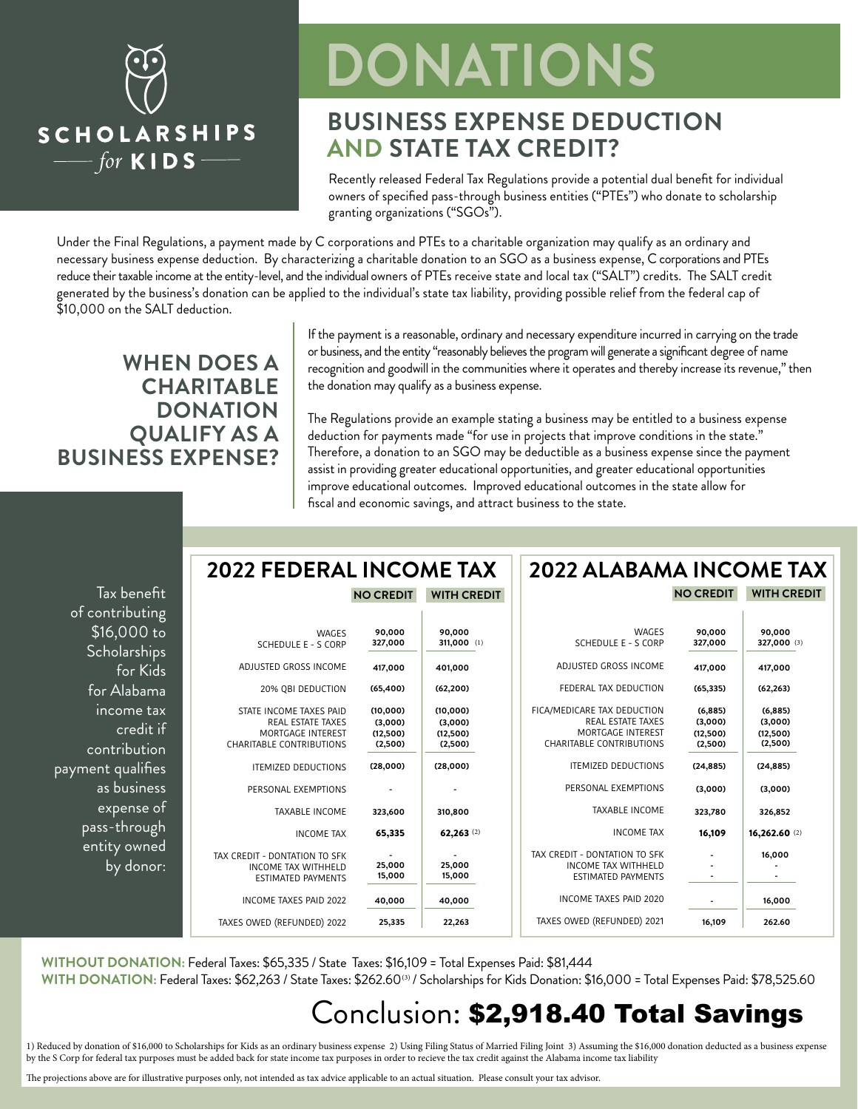

# **DONATIONS**

### **BUSINESS EXPENSE DEDUCTION AND STATE TAX CREDIT?**

Recently released Federal Tax Regulations provide a potential dual benefit for individual owners of specified pass-through business entities ("PTEs") who donate to scholarship granting organizations ("SGOs").

Under the Final Regulations, a payment made by C corporations and PTEs to a charitable organization may qualify as an ordinary and necessary business expense deduction. By characterizing a charitable donation to an SGO as a business expense, C corporations and PTEs reduce their taxable income at the entity-level, and the individual owners of PTEs receive state and local tax ("SALT") credits. The SALT credit generated by the business's donation can be applied to the individual's state tax liability, providing possible relief from the federal cap of \$10,000 on the SALT deduction.

### **WHEN DOES A CHARITABLE DONATION QUALIFY AS A BUSINESS EXPENSE?**

If the payment is a reasonable, ordinary and necessary expenditure incurred in carrying on the trade or business, and the entity "reasonably believes the program will generate a significant degree of name recognition and goodwill in the communities where it operates and thereby increase its revenue," then the donation may qualify as a business expense.

The Regulations provide an example stating a business may be entitled to a business expense deduction for payments made "for use in projects that improve conditions in the state." Therefore, a donation to an SGO may be deductible as a business expense since the payment assist in providing greater educational opportunities, and greater educational opportunities improve educational outcomes. Improved educational outcomes in the state allow for fiscal and economic savings, and attract business to the state.

| Tax benefit         |
|---------------------|
| of contributing     |
| \$16,000 <u>to</u>  |
| <b>Scholarships</b> |
| for Kids            |
| for Alabama         |
| income tax          |
| <u>credit if</u>    |
| contribution        |
| payment qualifies   |
| as business         |
| expense of          |
| pass-through        |
| entity owned        |
| by donor:           |

#### **2022 FEDERAL INCOME TAX NO CREDIT WITH CREDIT**

|    | 90,000<br>311,000 (1)                      | 90,000<br>327,000                          | <b>WAGES</b><br>SCHEDULE E - S CORP                                                                  |
|----|--------------------------------------------|--------------------------------------------|------------------------------------------------------------------------------------------------------|
|    | 401,000                                    | 417,000                                    | ADJUSTED GROSS INCOME                                                                                |
|    | (62, 200)                                  | (65, 400)                                  | 20% QBI DEDUCTION                                                                                    |
| F  | (10,000)<br>(3,000)<br>(12,500)<br>(2,500) | (10,000)<br>(3,000)<br>(12,500)<br>(2,500) | STATE INCOME TAXES PAID<br><b>REAL ESTATE TAXES</b><br>MORTGAGE INTEREST<br>CHARITABLE CONTRIBUTIONS |
|    | (28,000)                                   | (28,000)                                   | <b>ITEMIZED DEDUCTIONS</b>                                                                           |
|    |                                            |                                            | PERSONAL EXEMPTIONS                                                                                  |
|    | 310,800                                    | 323,600                                    | <b>TAXABLE INCOME</b>                                                                                |
|    | 62,263 $(2)$                               | 65,335                                     | <b>INCOME TAX</b>                                                                                    |
| T, | 25,000<br>15,000                           | 25,000<br>15,000                           | TAX CREDIT - DONTATION TO SFK<br><b>INCOME TAX WITHHELD</b><br><b>ESTIMATED PAYMENTS</b>             |
|    | 40,000                                     | 40,000                                     | INCOME TAXES PAID 2022                                                                               |
|    | 22,263                                     | 25,335                                     | TAXES OWED (REFUNDED) 2022                                                                           |

#### **NO CREDIT WITH CREDIT 2022 ALABAMA INCOME TAX**

| (1) | <b>WAGES</b><br>SCHEDULE E - S CORP                                                                      | 90,000<br>327,000                          | 90,000<br>327,000 (3)                     |
|-----|----------------------------------------------------------------------------------------------------------|--------------------------------------------|-------------------------------------------|
|     | ADJUSTED GROSS INCOME                                                                                    | 417,000                                    | 417,000                                   |
|     | FEDERAL TAX DEDUCTION                                                                                    | (65, 335)                                  | (62, 263)                                 |
|     | FICA/MEDICARE TAX DEDUCTION<br><b>REAL ESTATE TAXES</b><br>MORTGAGE INTEREST<br>CHARITABLE CONTRIBUTIONS | (6, 885)<br>(3,000)<br>(12,500)<br>(2,500) | (6,885)<br>(3,000)<br>(12,500)<br>(2,500) |
|     | <b>ITEMIZED DEDUCTIONS</b>                                                                               | (24, 885)                                  | (24, 885)                                 |
|     | PERSONAL EXEMPTIONS                                                                                      | (3,000)                                    | (3,000)                                   |
|     | <b>TAXABLE INCOME</b>                                                                                    | 323,780                                    | 326,852                                   |
| (2) | <b>INCOME TAX</b>                                                                                        | 16,109                                     | 16,262.60(2)                              |
|     | TAX CREDIT - DONTATION TO SFK<br><b>INCOME TAX WITHHELD</b><br><b>ESTIMATED PAYMENTS</b>                 |                                            | 16,000                                    |
|     | INCOME TAXES PAID 2020                                                                                   |                                            | 16,000                                    |
|     | TAXES OWED (REFUNDED) 2021                                                                               | 16,109                                     | 262.60                                    |
|     |                                                                                                          |                                            |                                           |

**WITHOUT DONATION:** Federal Taxes: \$65,335 / State Taxes: \$16,109 = Total Expenses Paid: \$81,444 WITH DONATION: Federal Taxes: \$62,263 / State Taxes: \$262.60® / Scholarships for Kids Donation: \$16,000 = Total Expenses Paid: \$78,525.60

### Conclusion: \$2,918.40 Total Savings

1) Reduced by donation of \$16,000 to Scholarships for Kids as an ordinary business expense 2) Using Filing Status of Married Filing Joint 3) Assuming the \$16,000 donation deducted as a business expense by the S Corp for federal tax purposes must be added back for state income tax purposes in order to recieve the tax credit against the Alabama income tax liability